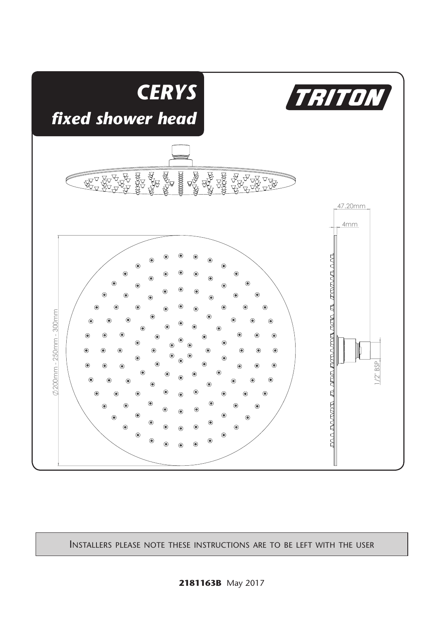

Installers please note these instructions are to be left with the user

contracts and contracts are contracted and contracts are contracted and contracts are contracted and contracts